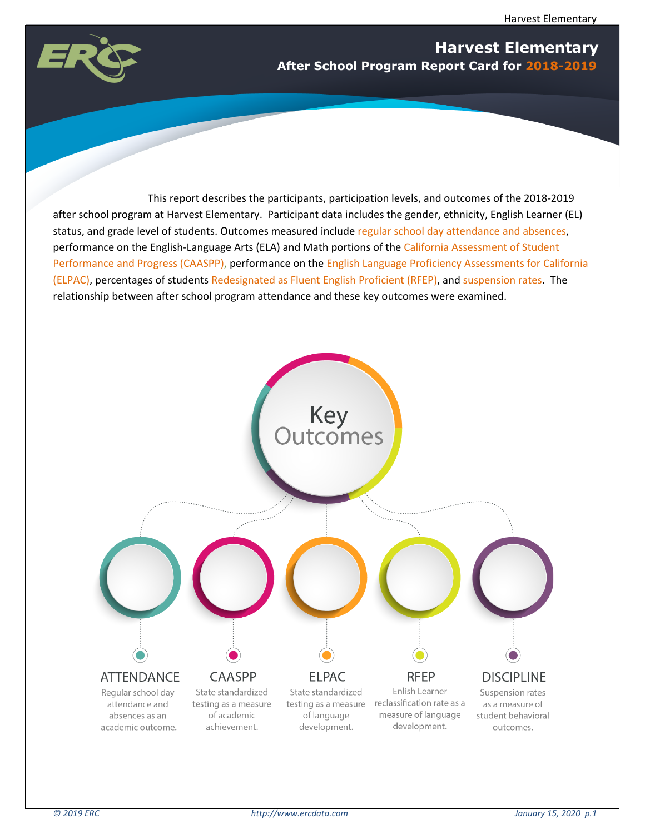

# **Harvest Elementary After School Program Report Card for 2018-2019**

This report describes the participants, participation levels, and outcomes of the 2018-2019 after school program at Harvest Elementary. Participant data includes the gender, ethnicity, English Learner (EL) status, and grade level of students. Outcomes measured include regular school day attendance and absences, performance on the English-Language Arts (ELA) and Math portions of the California Assessment of Student Performance and Progress (CAASPP), performance on the English Language Proficiency Assessments for California (ELPAC), percentages of students Redesignated as Fluent English Proficient (RFEP), and suspension rates. The relationship between after school program attendance and these key outcomes were examined.

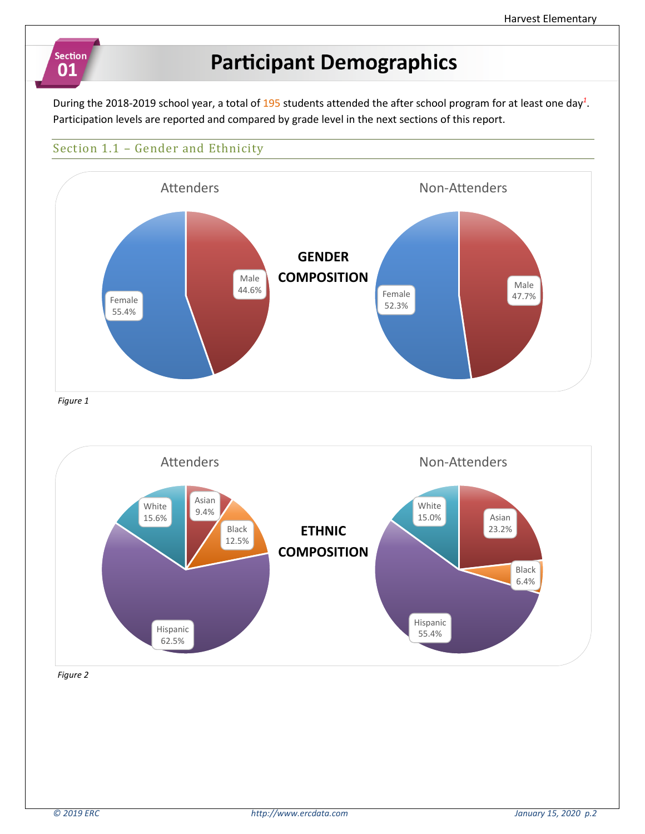# **Participant Demographics**

During the 2018-2019 school year, a total of 195 students attended the after school program for at least one day*<sup>1</sup>* . Participation levels are reported and compared by grade level in the next sections of this report.

# Section 1.1 – Gender and Ethnicity

**Section** 

01



*Figure 2*

Hispanic 62.5%

55.4%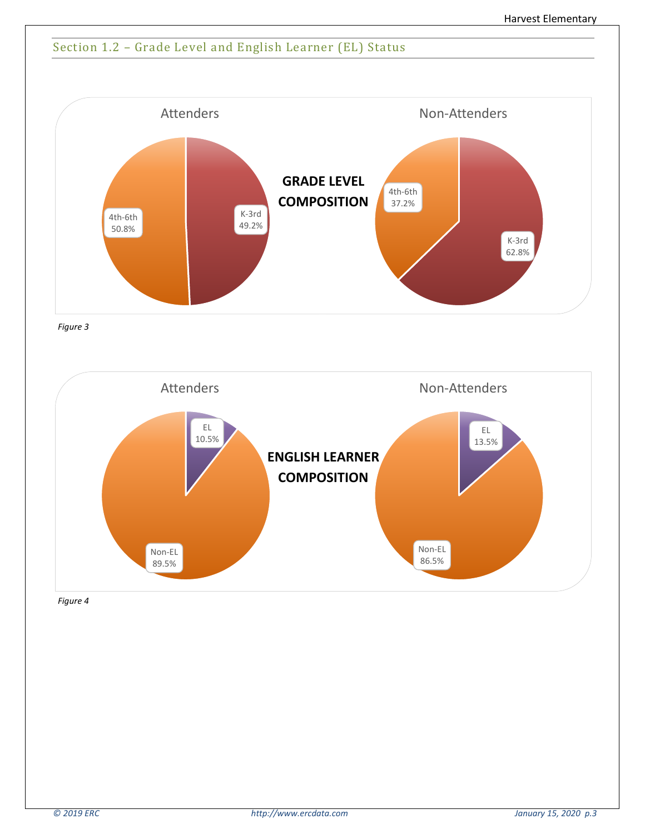# Section 1.2 – Grade Level and English Learner (EL) Status



*Figure 3*

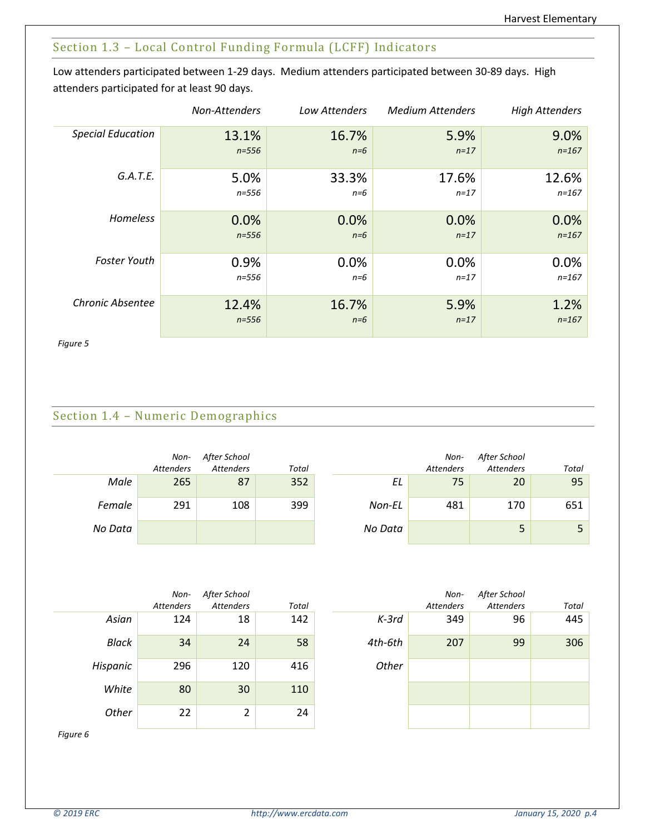## Section 1.3 – Local Control Funding Formula (LCFF) Indicators

Low attenders participated between 1-29 days. Medium attenders participated between 30-89 days. High attenders participated for at least 90 days.

|                          | Non-Attenders | Low Attenders | <b>Medium Attenders</b> | <b>High Attenders</b> |
|--------------------------|---------------|---------------|-------------------------|-----------------------|
| <b>Special Education</b> | 13.1%         | 16.7%         | 5.9%                    | 9.0%                  |
|                          | $n = 556$     | $n=6$         | $n=17$                  | $n = 167$             |
| G.A.T.E.                 | 5.0%          | 33.3%         | 17.6%                   | 12.6%                 |
|                          | n=556         | $n=6$         | $n = 17$                | $n = 167$             |
| Homeless                 | 0.0%          | 0.0%          | 0.0%                    | 0.0%                  |
|                          | $n = 556$     | $n=6$         | $n=17$                  | $n = 167$             |
| <b>Foster Youth</b>      | 0.9%          | 0.0%          | 0.0%                    | 0.0%                  |
|                          | $n = 556$     | $n=6$         | $n = 17$                | $n = 167$             |
| Chronic Absentee         | 12.4%         | 16.7%         | 5.9%                    | 1.2%                  |
|                          | $n = 556$     | $n=6$         | $n=17$                  | $n = 167$             |

*Figure 5*

# Section 1.4 – Numeric Demographics

|         | Non-<br><b>Attenders</b> | After School<br><b>Attenders</b> | Total |         | Non-<br><b>Attenders</b> | After School<br><b>Attenders</b> | Total |
|---------|--------------------------|----------------------------------|-------|---------|--------------------------|----------------------------------|-------|
| Male    | 265                      | 87                               | 352   | EL      | 75                       | 20                               | 95    |
| Female  | 291                      | 108                              | 399   | Non-EL  | 481                      | 170                              | 651   |
| No Data |                          |                                  |       | No Data |                          |                                  |       |

|          | Non-             | After School |       |         | Non-             | After School     |       |
|----------|------------------|--------------|-------|---------|------------------|------------------|-------|
|          | <b>Attenders</b> | Attenders    | Total |         | <b>Attenders</b> | <b>Attenders</b> | Total |
| Asian    | 124              | 18           | 142   | $K-3rd$ | 349              | 96               | 445   |
| Black    | 34               | 24           | 58    | 4th-6th | 207              | 99               | 306   |
| Hispanic | 296              | 120          | 416   | Other   |                  |                  |       |
| White    | 80               | 30           | 110   |         |                  |                  |       |
| Other    | 22               | 2            | 24    |         |                  |                  |       |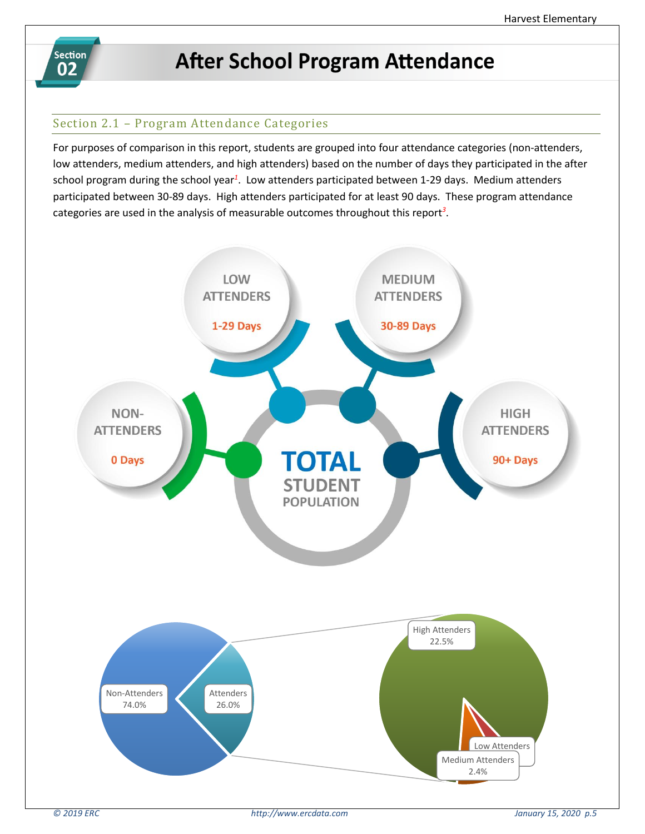

# **After School Program Attendance**

# Section 2.1 – Program Attendance Categories

For purposes of comparison in this report, students are grouped into four attendance categories (non-attenders, low attenders, medium attenders, and high attenders) based on the number of days they participated in the after school program during the school year*<sup>1</sup>* . Low attenders participated between 1-29 days. Medium attenders participated between 30-89 days. High attenders participated for at least 90 days. These program attendance categories are used in the analysis of measurable outcomes throughout this report*<sup>3</sup>* .

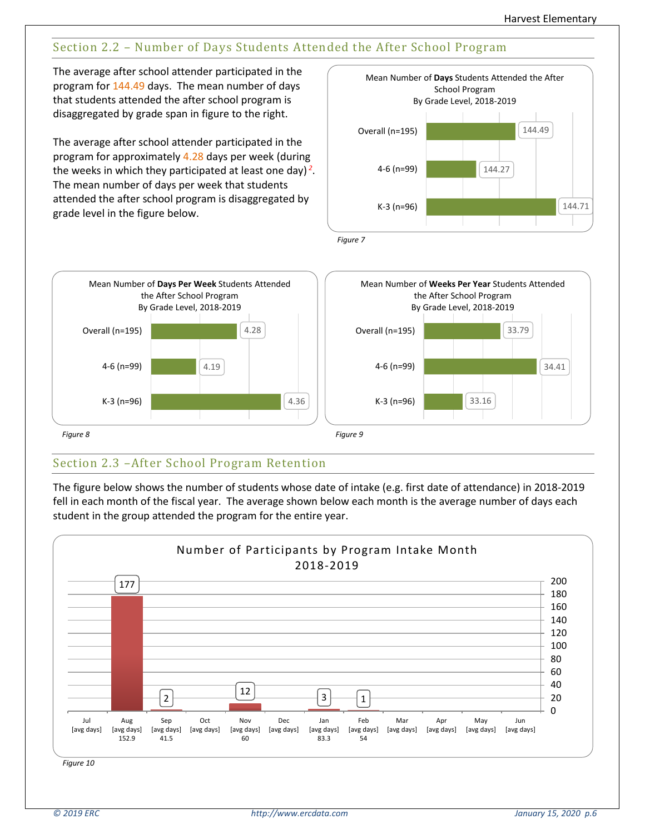# Section 2.2 – Number of Days Students Attended the After School Program

The average after school attender participated in the program for 144.49 days. The mean number of days that students attended the after school program is disaggregated by grade span in figure to the right.

The average after school attender participated in the program for approximately 4.28 days per week (during the weeks in which they participated at least one day) *<sup>2</sup>* . The mean number of days per week that students attended the after school program is disaggregated by grade level in the figure below.



*Figure 8 Figure 9* 4.36 4.19 4.28 K-3 (n=96) 4-6 (n=99) Overall (n=195) Mean Number of **Days Per Week** Students Attended the After School Program By Grade Level, 2018-2019 33.16 34.41 33.79 K-3 (n=96) 4-6 (n=99) Overall (n=195) Mean Number of **Weeks Per Year** Students Attended the After School Program By Grade Level, 2018-2019

# Section 2.3 –After School Program Retention

The figure below shows the number of students whose date of intake (e.g. first date of attendance) in 2018-2019 fell in each month of the fiscal year. The average shown below each month is the average number of days each student in the group attended the program for the entire year.

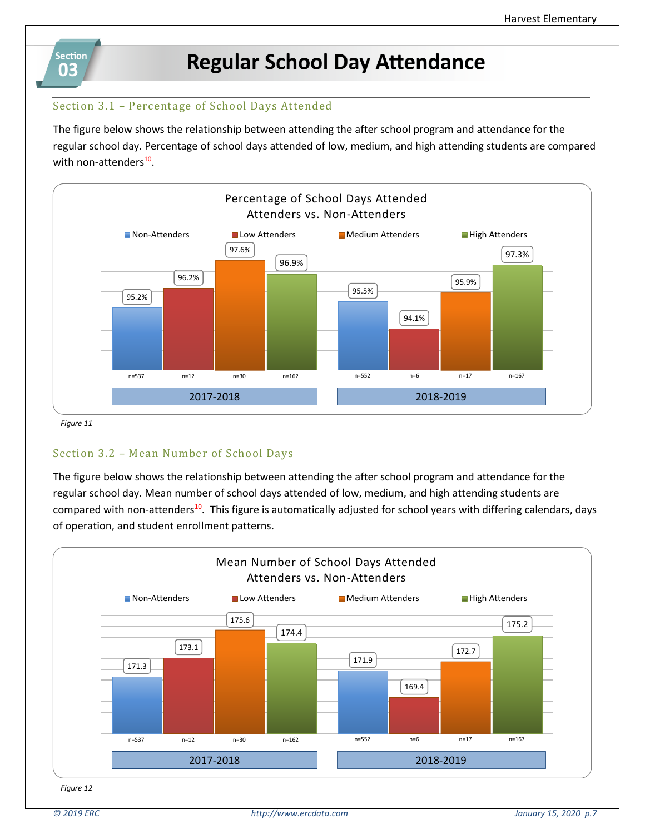

# **Regular School Day Attendance**

## Section 3.1 – Percentage of School Days Attended

The figure below shows the relationship between attending the after school program and attendance for the regular school day. Percentage of school days attended of low, medium, and high attending students are compared with non-attenders<sup>10</sup>.



 *Figure 11*

## Section 3.2 – Mean Number of School Days

The figure below shows the relationship between attending the after school program and attendance for the regular school day. Mean number of school days attended of low, medium, and high attending students are compared with non-attenders<sup>10</sup>. This figure is automatically adjusted for school years with differing calendars, days of operation, and student enrollment patterns.

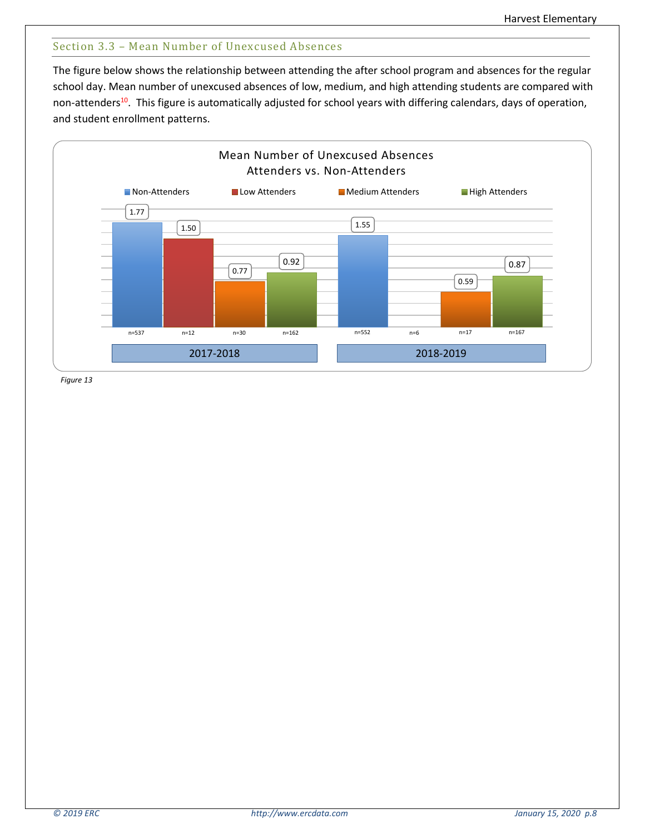## Section 3.3 – Mean Number of Unexcused Absences

The figure below shows the relationship between attending the after school program and absences for the regular school day. Mean number of unexcused absences of low, medium, and high attending students are compared with non-attenders<sup>10</sup>. This figure is automatically adjusted for school years with differing calendars, days of operation, and student enrollment patterns.

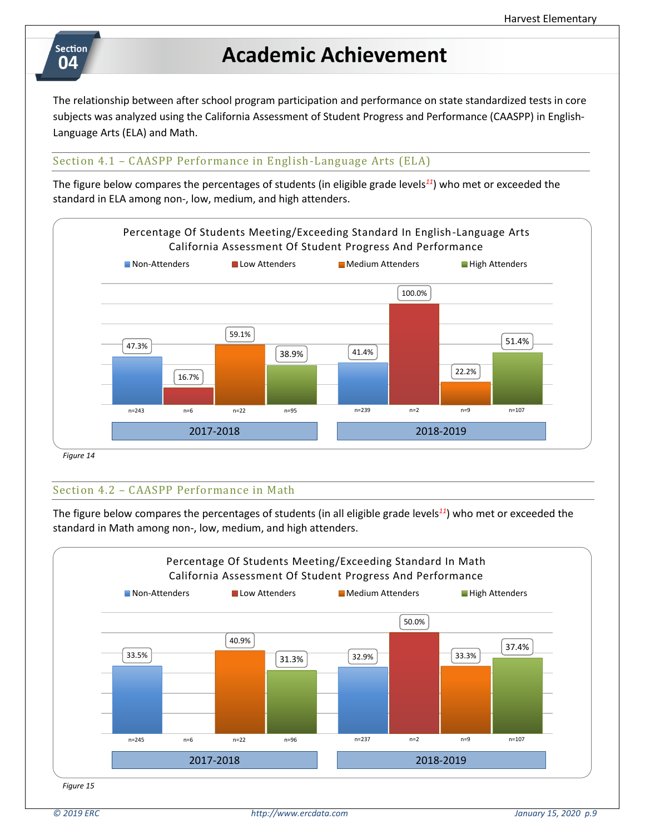# **Section** 04

# **Academic Achievement**

The relationship between after school program participation and performance on state standardized tests in core subjects was analyzed using the California Assessment of Student Progress and Performance (CAASPP) in English-Language Arts (ELA) and Math.

## Section 4.1 – CAASPP Performance in English-Language Arts (ELA)

The figure below compares the percentages of students (in eligible grade levels*<sup>11</sup>*) who met or exceeded the standard in ELA among non-, low, medium, and high attenders.



*Figure 14*

## Section 4.2 – CAASPP Performance in Math

The figure below compares the percentages of students (in all eligible grade levels*<sup>11</sup>*) who met or exceeded the standard in Math among non-, low, medium, and high attenders.

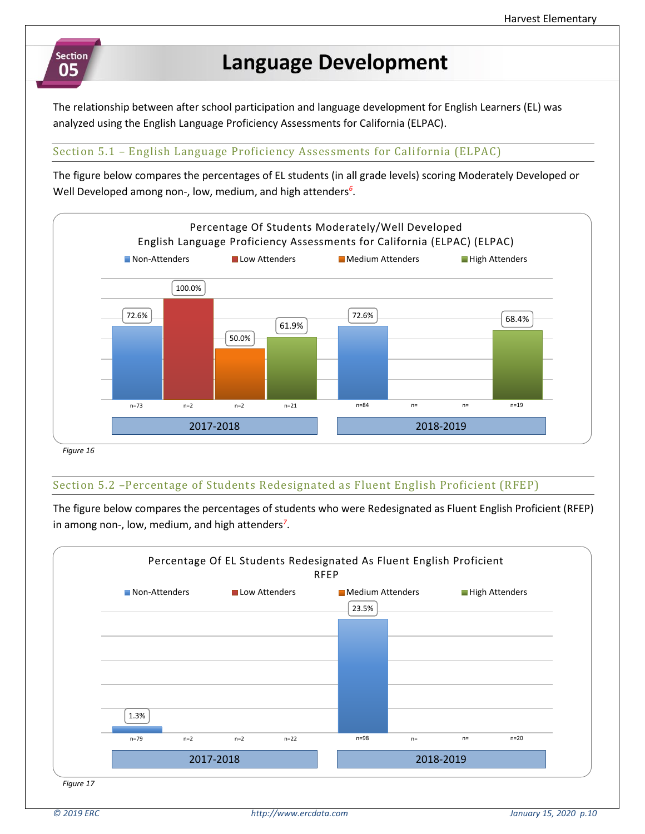# Section 05

# **Language Development**

The relationship between after school participation and language development for English Learners (EL) was analyzed using the English Language Proficiency Assessments for California (ELPAC).

## Section 5.1 – English Language Proficiency Assessments for California (ELPAC)

The figure below compares the percentages of EL students (in all grade levels) scoring Moderately Developed or Well Developed among non-, low, medium, and high attenders*<sup>6</sup>* .



## Section 5.2 –Percentage of Students Redesignated as Fluent English Proficient (RFEP)

The figure below compares the percentages of students who were Redesignated as Fluent English Proficient (RFEP) in among non-, low, medium, and high attenders*<sup>7</sup>* .

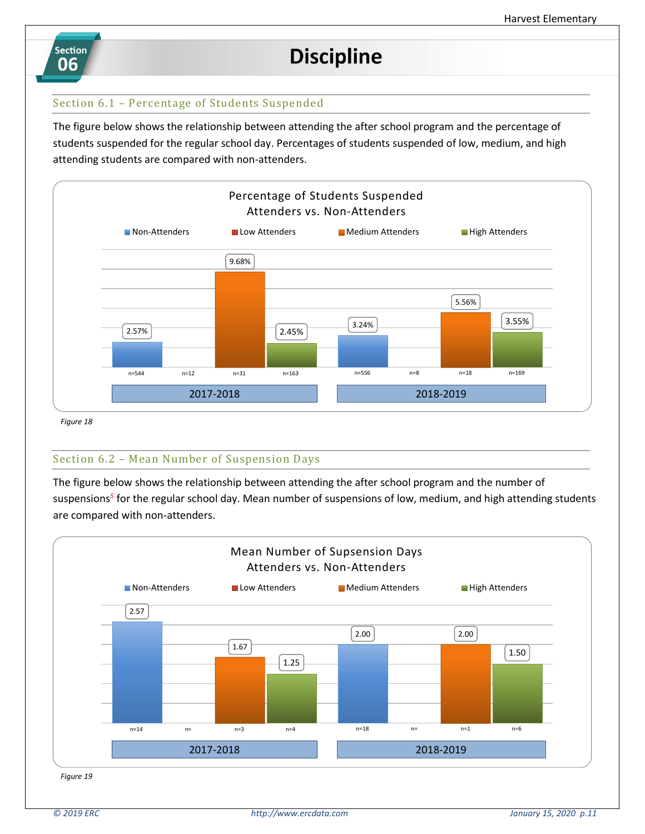

# **Discipline**

### Section 6.1 – Percentage of Students Suspended

The figure below shows the relationship between attending the after school program and the percentage of students suspended for the regular school day. Percentages of students suspended of low, medium, and high attending students are compared with non-attenders.



 *Figure 18*

#### Section 6.2 – Mean Number of Suspension Days

The figure below shows the relationship between attending the after school program and the number of suspensions*<sup>5</sup>* for the regular school day. Mean number of suspensions of low, medium, and high attending students are compared with non-attenders.

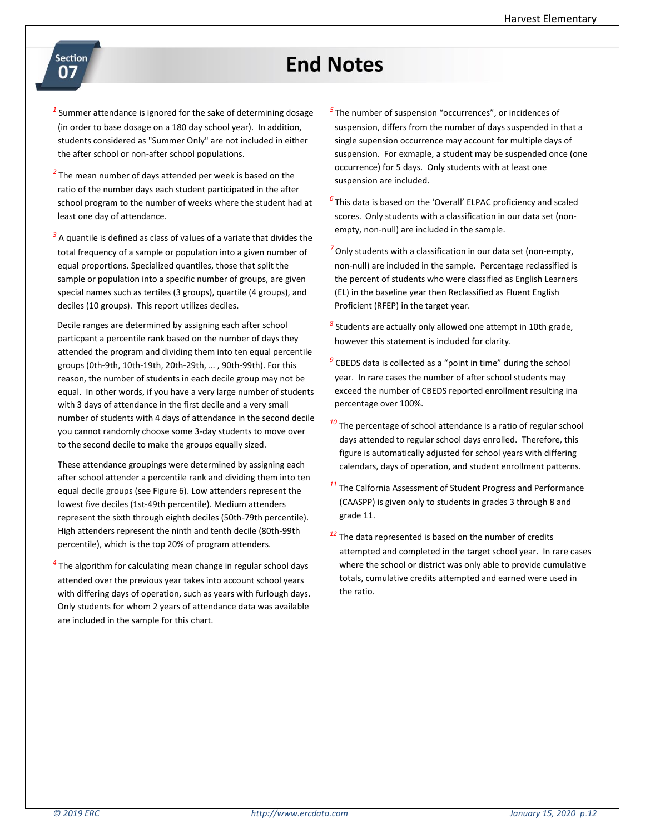# **End Notes**

- Section 07
- *1* Summer attendance is ignored for the sake of determining dosage (in order to base dosage on a 180 day school year). In addition, students considered as "Summer Only" are not included in either the after school or non-after school populations.
- <sup>2</sup> The mean number of days attended per week is based on the ratio of the number days each student participated in the after school program to the number of weeks where the student had at least one day of attendance.
- <sup>3</sup> A quantile is defined as class of values of a variate that divides the total frequency of a sample or population into a given number of equal proportions. Specialized quantiles, those that split the sample or population into a specific number of groups, are given special names such as tertiles (3 groups), quartile (4 groups), and deciles (10 groups). This report utilizes deciles.

 Decile ranges are determined by assigning each after school particpant a percentile rank based on the number of days they attended the program and dividing them into ten equal percentile groups (0th-9th, 10th-19th, 20th-29th, … , 90th-99th). For this reason, the number of students in each decile group may not be equal. In other words, if you have a very large number of students with 3 days of attendance in the first decile and a very small number of students with 4 days of attendance in the second decile you cannot randomly choose some 3-day students to move over to the second decile to make the groups equally sized.

These attendance groupings were determined by assigning each after school attender a percentile rank and dividing them into ten equal decile groups (see Figure 6). Low attenders represent the lowest five deciles (1st-49th percentile). Medium attenders represent the sixth through eighth deciles (50th-79th percentile). High attenders represent the ninth and tenth decile (80th-99th percentile), which is the top 20% of program attenders.

*4* The algorithm for calculating mean change in regular school days attended over the previous year takes into account school years with differing days of operation, such as years with furlough days. Only students for whom 2 years of attendance data was available are included in the sample for this chart.

- *5* The number of suspension "occurrences", or incidences of suspension, differs from the number of days suspended in that a single supension occurrence may account for multiple days of suspension. For exmaple, a student may be suspended once (one occurrence) for 5 days. Only students with at least one suspension are included.
- *6* This data is based on the 'Overall' ELPAC proficiency and scaled scores. Only students with a classification in our data set (nonempty, non-null) are included in the sample.
- *<sup>7</sup>* Only students with a classification in our data set (non-empty, non-null) are included in the sample. Percentage reclassified is the percent of students who were classified as English Learners (EL) in the baseline year then Reclassified as Fluent English Proficient (RFEP) in the target year.
- *8* Students are actually only allowed one attempt in 10th grade, however this statement is included for clarity.
- *9* CBEDS data is collected as a "point in time" during the school year. In rare cases the number of after school students may exceed the number of CBEDS reported enrollment resulting ina percentage over 100%.
- *<sup>10</sup>* The percentage of school attendance is a ratio of regular school days attended to regular school days enrolled. Therefore, this figure is automatically adjusted for school years with differing calendars, days of operation, and student enrollment patterns.
- *<sup>11</sup>* The Calfornia Assessment of Student Progress and Performance (CAASPP) is given only to students in grades 3 through 8 and grade 11.
- *<sup>12</sup>* The data represented is based on the number of credits attempted and completed in the target school year. In rare cases where the school or district was only able to provide cumulative totals, cumulative credits attempted and earned were used in the ratio.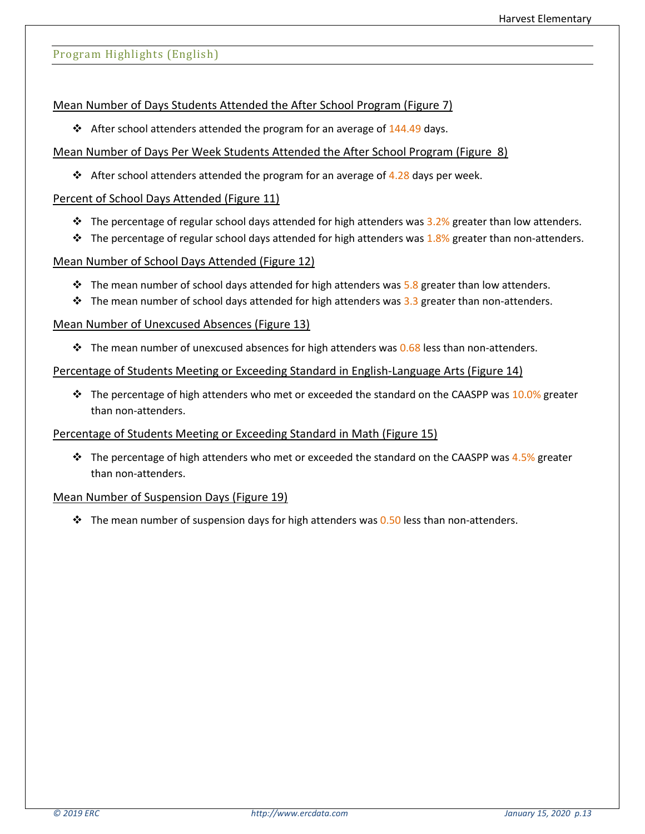### Program Highlights (English)

#### Mean Number of Days Students Attended the After School Program (Figure 7)

**❖** After school attenders attended the program for an average of  $144.49$  days.

### Mean Number of Days Per Week Students Attended the After School Program (Figure 8)

**❖** After school attenders attended the program for an average of  $4.28$  days per week.

### Percent of School Days Attended (Figure 11)

- **❖** The percentage of regular school days attended for high attenders was  $3.2%$  greater than low attenders.
- **❖** The percentage of regular school days attended for high attenders was  $1.8%$  greater than non-attenders.

### Mean Number of School Days Attended (Figure 12)

- $\div$  The mean number of school days attended for high attenders was 5.8 greater than low attenders.
- ❖ The mean number of school days attended for high attenders was 3.3 greater than non-attenders.

### Mean Number of Unexcused Absences (Figure 13)

**❖** The mean number of unexcused absences for high attenders was  $0.68$  less than non-attenders.

#### Percentage of Students Meeting or Exceeding Standard in English-Language Arts (Figure 14)

 $\div$  The percentage of high attenders who met or exceeded the standard on the CAASPP was 10.0% greater than non-attenders.

#### Percentage of Students Meeting or Exceeding Standard in Math (Figure 15)

❖ The percentage of high attenders who met or exceeded the standard on the CAASPP was 4.5% greater than non-attenders.

#### Mean Number of Suspension Days (Figure 19)

 $♦$  The mean number of suspension days for high attenders was 0.50 less than non-attenders.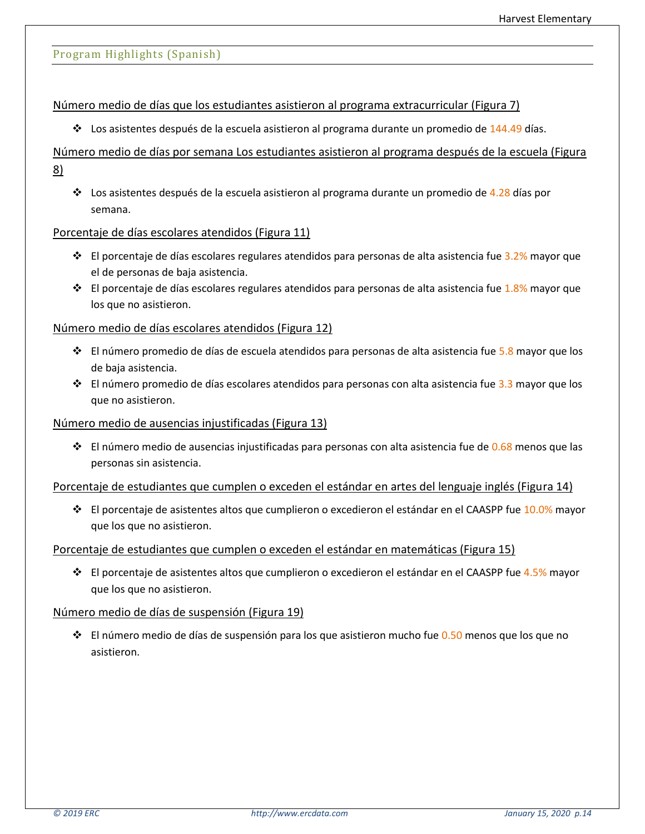#### Program Highlights (Spanish)

#### Número medio de días que los estudiantes asistieron al programa extracurricular (Figura 7)

❖ Los asistentes después de la escuela asistieron al programa durante un promedio de 144.49 días.

## Número medio de días por semana Los estudiantes asistieron al programa después de la escuela (Figura 8)

❖ Los asistentes después de la escuela asistieron al programa durante un promedio de 4.28 días por semana.

#### Porcentaje de días escolares atendidos (Figura 11)

- ❖ El porcentaje de días escolares regulares atendidos para personas de alta asistencia fue 3.2% mayor que el de personas de baja asistencia.
- ❖ El porcentaje de días escolares regulares atendidos para personas de alta asistencia fue 1.8% mayor que los que no asistieron.

#### Número medio de días escolares atendidos (Figura 12)

- ❖ El número promedio de días de escuela atendidos para personas de alta asistencia fue 5.8 mayor que los de baja asistencia.
- ❖ El número promedio de días escolares atendidos para personas con alta asistencia fue 3.3 mayor que los que no asistieron.

#### Número medio de ausencias injustificadas (Figura 13)

 $♦$  El número medio de ausencias injustificadas para personas con alta asistencia fue de 0.68 menos que las personas sin asistencia.

#### Porcentaje de estudiantes que cumplen o exceden el estándar en artes del lenguaje inglés (Figura 14)

❖ El porcentaje de asistentes altos que cumplieron o excedieron el estándar en el CAASPP fue 10.0% mayor que los que no asistieron.

#### Porcentaje de estudiantes que cumplen o exceden el estándar en matemáticas (Figura 15)

❖ El porcentaje de asistentes altos que cumplieron o excedieron el estándar en el CAASPP fue 4.5% mayor que los que no asistieron.

#### Número medio de días de suspensión (Figura 19)

❖ El número medio de días de suspensión para los que asistieron mucho fue 0.50 menos que los que no asistieron.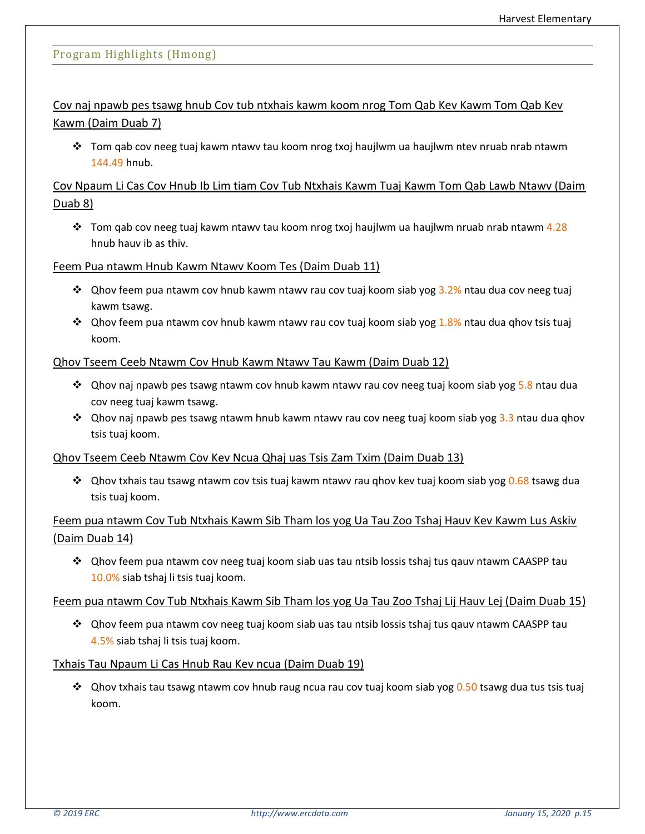## Program Highlights (Hmong)

Cov naj npawb pes tsawg hnub Cov tub ntxhais kawm koom nrog Tom Qab Kev Kawm Tom Qab Kev Kawm (Daim Duab 7)

❖ Tom qab cov neeg tuaj kawm ntawv tau koom nrog txoj haujlwm ua haujlwm ntev nruab nrab ntawm 144.49 hnub.

## Cov Npaum Li Cas Cov Hnub Ib Lim tiam Cov Tub Ntxhais Kawm Tuaj Kawm Tom Qab Lawb Ntawv (Daim Duab 8)

◆ Tom gab cov neeg tuaj kawm ntawv tau koom nrog txoj haujlwm ua haujlwm nruab nrab ntawm 4.28 hnub hauv ib as thiv.

Feem Pua ntawm Hnub Kawm Ntawv Koom Tes (Daim Duab 11)

- ❖ Qhov feem pua ntawm cov hnub kawm ntawv rau cov tuaj koom siab yog 3.2% ntau dua cov neeg tuaj kawm tsawg.
- ❖ Qhov feem pua ntawm cov hnub kawm ntawv rau cov tuaj koom siab yog 1.8% ntau dua qhov tsis tuaj koom.

### Qhov Tseem Ceeb Ntawm Cov Hnub Kawm Ntawv Tau Kawm (Daim Duab 12)

- ❖ Qhov naj npawb pes tsawg ntawm cov hnub kawm ntawv rau cov neeg tuaj koom siab yog 5.8 ntau dua cov neeg tuaj kawm tsawg.
- ❖ Qhov naj npawb pes tsawg ntawm hnub kawm ntawv rau cov neeg tuaj koom siab yog 3.3 ntau dua qhov tsis tuaj koom.

#### Qhov Tseem Ceeb Ntawm Cov Kev Ncua Qhaj uas Tsis Zam Txim (Daim Duab 13)

❖ Qhov txhais tau tsawg ntawm cov tsis tuaj kawm ntawv rau qhov kev tuaj koom siab yog 0.68 tsawg dua tsis tuaj koom.

# Feem pua ntawm Cov Tub Ntxhais Kawm Sib Tham los yog Ua Tau Zoo Tshaj Hauv Kev Kawm Lus Askiv (Daim Duab 14)

❖ Qhov feem pua ntawm cov neeg tuaj koom siab uas tau ntsib lossis tshaj tus qauv ntawm CAASPP tau 10.0% siab tshaj li tsis tuaj koom.

#### Feem pua ntawm Cov Tub Ntxhais Kawm Sib Tham los yog Ua Tau Zoo Tshaj Lij Hauv Lej (Daim Duab 15)

❖ Qhov feem pua ntawm cov neeg tuaj koom siab uas tau ntsib lossis tshaj tus qauv ntawm CAASPP tau 4.5% siab tshaj li tsis tuaj koom.

#### Txhais Tau Npaum Li Cas Hnub Rau Kev ncua (Daim Duab 19)

❖ Qhov txhais tau tsawg ntawm cov hnub raug ncua rau cov tuaj koom siab yog 0.50 tsawg dua tus tsis tuaj koom.